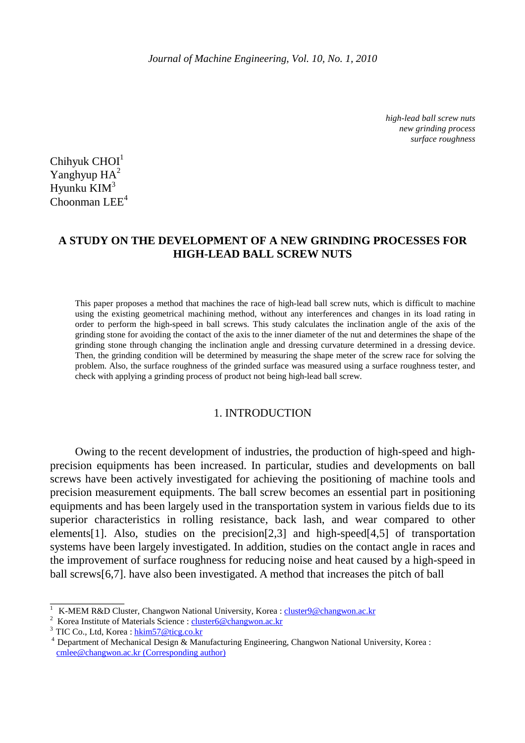*high-lead ball screw nuts new grinding process surface roughness* 

 $Chihvuk$  CHOI $<sup>1</sup>$ </sup>  $Y$ anghyup  $HA^2$ Hyunku  $KM^3$  $Chooman LEE<sup>4</sup>$ 

# **A STUDY ON THE DEVELOPMENT OF A NEW GRINDING PROCESSES FOR HIGH-LEAD BALL SCREW NUTS**

This paper proposes a method that machines the race of high-lead ball screw nuts, which is difficult to machine using the existing geometrical machining method, without any interferences and changes in its load rating in order to perform the high-speed in ball screws. This study calculates the inclination angle of the axis of the grinding stone for avoiding the contact of the axis to the inner diameter of the nut and determines the shape of the grinding stone through changing the inclination angle and dressing curvature determined in a dressing device. Then, the grinding condition will be determined by measuring the shape meter of the screw race for solving the problem. Also, the surface roughness of the grinded surface was measured using a surface roughness tester, and check with applying a grinding process of product not being high-lead ball screw.

## 1. INTRODUCTION

 Owing to the recent development of industries, the production of high-speed and highprecision equipments has been increased. In particular, studies and developments on ball screws have been actively investigated for achieving the positioning of machine tools and precision measurement equipments. The ball screw becomes an essential part in positioning equipments and has been largely used in the transportation system in various fields due to its superior characteristics in rolling resistance, back lash, and wear compared to other elements[1]. Also, studies on the precision[2,3] and high-speed[4,5] of transportation systems have been largely investigated. In addition, studies on the contact angle in races and the improvement of surface roughness for reducing noise and heat caused by a high-speed in ball screws[6,7]. have also been investigated. A method that increases the pitch of ball

\_\_\_\_\_\_\_\_\_\_\_\_\_

<sup>&</sup>lt;sup>1</sup> K-MEM R&D Cluster, Changwon National University, Korea : cluster9@changwon.ac.kr

<sup>&</sup>lt;sup>2</sup> Korea Institute of Materials Science : cluster6@changwon.ac.kr

 $3$  TIC Co., Ltd, Korea : hkim57@ticg.co.kr

<sup>&</sup>lt;sup>4</sup> Department of Mechanical Design & Manufacturing Engineering, Changwon National University, Korea : cmlee@changwon.ac.kr (Corresponding author)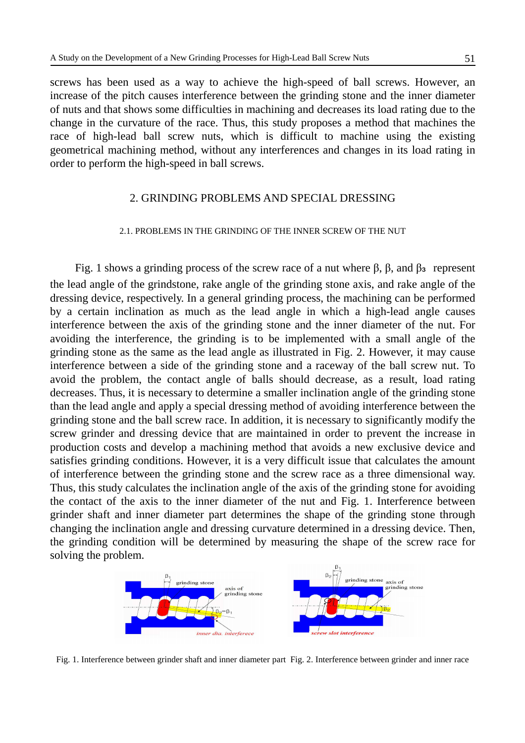screws has been used as a way to achieve the high-speed of ball screws. However, an increase of the pitch causes interference between the grinding stone and the inner diameter of nuts and that shows some difficulties in machining and decreases its load rating due to the change in the curvature of the race. Thus, this study proposes a method that machines the race of high-lead ball screw nuts, which is difficult to machine using the existing geometrical machining method, without any interferences and changes in its load rating in order to perform the high-speed in ball screws.

## 2. GRINDING PROBLEMS AND SPECIAL DRESSING

### 2.1. PROBLEMS IN THE GRINDING OF THE INNER SCREW OF THE NUT

Fig. 1 shows a grinding process of the screw race of a nut where  $β$ ,  $β$ , and  $β_3$  represent the lead angle of the grindstone, rake angle of the grinding stone axis, and rake angle of the dressing device, respectively. In a general grinding process, the machining can be performed by a certain inclination as much as the lead angle in which a high-lead angle causes interference between the axis of the grinding stone and the inner diameter of the nut. For avoiding the interference, the grinding is to be implemented with a small angle of the grinding stone as the same as the lead angle as illustrated in Fig. 2. However, it may cause interference between a side of the grinding stone and a raceway of the ball screw nut. To avoid the problem, the contact angle of balls should decrease, as a result, load rating decreases. Thus, it is necessary to determine a smaller inclination angle of the grinding stone than the lead angle and apply a special dressing method of avoiding interference between the grinding stone and the ball screw race. In addition, it is necessary to significantly modify the screw grinder and dressing device that are maintained in order to prevent the increase in production costs and develop a machining method that avoids a new exclusive device and satisfies grinding conditions. However, it is a very difficult issue that calculates the amount of interference between the grinding stone and the screw race as a three dimensional way. Thus, this study calculates the inclination angle of the axis of the grinding stone for avoiding the contact of the axis to the inner diameter of the nut and Fig. 1. Interference between grinder shaft and inner diameter part determines the shape of the grinding stone through changing the inclination angle and dressing curvature determined in a dressing device. Then, the grinding condition will be determined by measuring the shape of the screw race for solving the problem.



Fig. 1. Interference between grinder shaft and inner diameter part Fig. 2. Interference between grinder and inner race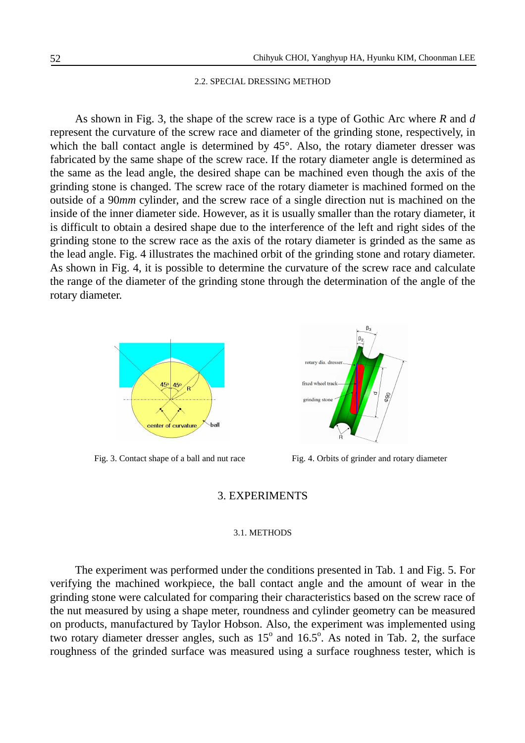### 2.2. SPECIAL DRESSING METHOD

 As shown in Fig. 3, the shape of the screw race is a type of Gothic Arc where *R* and *d* represent the curvature of the screw race and diameter of the grinding stone, respectively, in which the ball contact angle is determined by 45°. Also, the rotary diameter dresser was fabricated by the same shape of the screw race. If the rotary diameter angle is determined as the same as the lead angle, the desired shape can be machined even though the axis of the grinding stone is changed. The screw race of the rotary diameter is machined formed on the outside of a 90*mm* cylinder, and the screw race of a single direction nut is machined on the inside of the inner diameter side. However, as it is usually smaller than the rotary diameter, it is difficult to obtain a desired shape due to the interference of the left and right sides of the grinding stone to the screw race as the axis of the rotary diameter is grinded as the same as the lead angle. Fig. 4 illustrates the machined orbit of the grinding stone and rotary diameter. As shown in Fig. 4, it is possible to determine the curvature of the screw race and calculate the range of the diameter of the grinding stone through the determination of the angle of the rotary diameter.





Fig. 3. Contact shape of a ball and nut race Fig. 4. Orbits of grinder and rotary diameter

## 3. EXPERIMENTS

#### 3.1. METHODS

 The experiment was performed under the conditions presented in Tab. 1 and Fig. 5. For verifying the machined workpiece, the ball contact angle and the amount of wear in the grinding stone were calculated for comparing their characteristics based on the screw race of the nut measured by using a shape meter, roundness and cylinder geometry can be measured on products, manufactured by Taylor Hobson. Also, the experiment was implemented using two rotary diameter dresser angles, such as  $15^{\circ}$  and  $16.5^{\circ}$ . As noted in Tab. 2, the surface roughness of the grinded surface was measured using a surface roughness tester, which is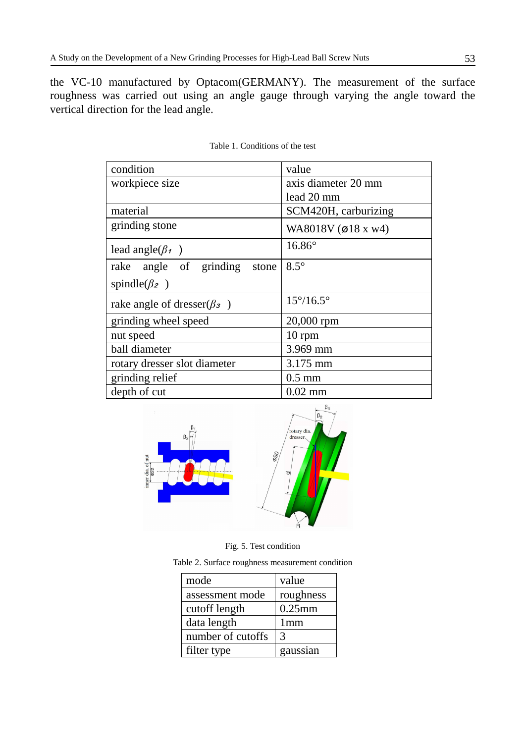the VC-10 manufactured by Optacom(GERMANY). The measurement of the surface roughness was carried out using an angle gauge through varying the angle toward the vertical direction for the lead angle.

| condition                                     | value                     |  |
|-----------------------------------------------|---------------------------|--|
| workpiece size                                | axis diameter 20 mm       |  |
|                                               | lead 20 mm                |  |
| material                                      | SCM420H, carburizing      |  |
| grinding stone                                | WA8018V (ø18 x w4)        |  |
| lead angle( $\beta_1$ )                       | $16.86^\circ$             |  |
| rake angle of grinding<br>stone               | $8.5^\circ$               |  |
| spindle( $\beta$ <sub>2</sub> )               |                           |  |
| rake angle of dresser( $\beta$ <sub>3</sub> ) | $15^{\circ}/16.5^{\circ}$ |  |
| grinding wheel speed                          | 20,000 rpm                |  |
| nut speed                                     | $10$ rpm                  |  |
| ball diameter                                 | 3.969 mm                  |  |
| rotary dresser slot diameter                  | 3.175 mm                  |  |
| grinding relief                               | $0.5$ mm                  |  |
| depth of cut                                  | $0.02$ mm                 |  |

Table 1. Conditions of the test



Fig. 5. Test condition

Table 2. Surface roughness measurement condition

| mode              | value           |
|-------------------|-----------------|
| assessment mode   | roughness       |
| cutoff length     | $0.25$ mm       |
| data length       | 1 <sub>mm</sub> |
| number of cutoffs | 3               |
| filter type       | gaussian        |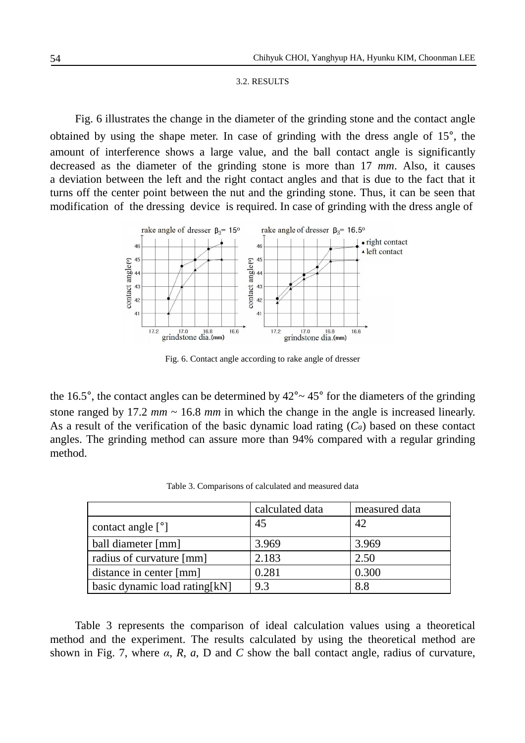## 3.2. RESULTS

 Fig. 6 illustrates the change in the diameter of the grinding stone and the contact angle obtained by using the shape meter. In case of grinding with the dress angle of 15°, the amount of interference shows a large value, and the ball contact angle is significantly decreased as the diameter of the grinding stone is more than 17 *mm*. Also, it causes a deviation between the left and the right contact angles and that is due to the fact that it turns off the center point between the nut and the grinding stone. Thus, it can be seen that modification of the dressing device is required. In case of grinding with the dress angle of



Fig. 6. Contact angle according to rake angle of dresser

the 16.5°, the contact angles can be determined by  $42^{\circ}$   $\sim$  45° for the diameters of the grinding stone ranged by 17.2  $mm \sim 16.8 \, mm$  in which the change in the angle is increased linearly. As a result of the verification of the basic dynamic load rating (*Ca*) based on these contact angles. The grinding method can assure more than 94% compared with a regular grinding method.

|                                | calculated data | measured data |
|--------------------------------|-----------------|---------------|
| contact angle $[°]$            | 45              | 42            |
| ball diameter [mm]             | 3.969           | 3.969         |
| radius of curvature [mm]       | 2.183           | 2.50          |
| distance in center [mm]        | 0.281           | 0.300         |
| basic dynamic load rating [kN] | 9.3             | 8.8           |

Table 3. Comparisons of calculated and measured data

 Table 3 represents the comparison of ideal calculation values using a theoretical method and the experiment. The results calculated by using the theoretical method are shown in Fig. 7, where  $\alpha$ ,  $R$ ,  $\alpha$ ,  $D$  and  $C$  show the ball contact angle, radius of curvature,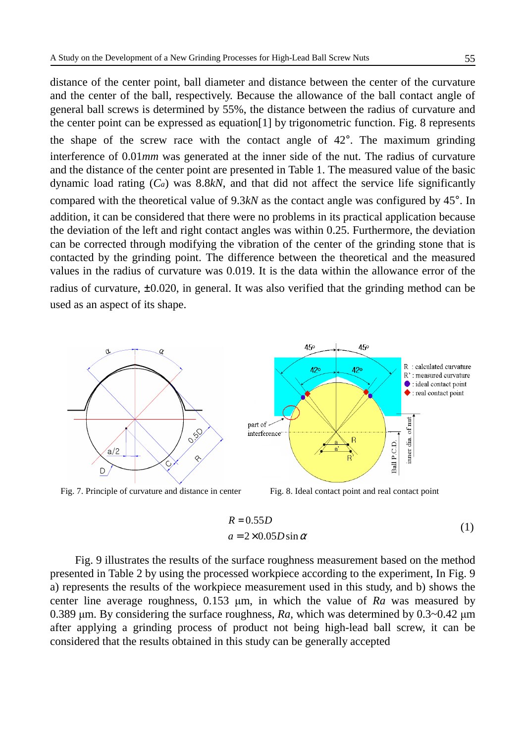distance of the center point, ball diameter and distance between the center of the curvature and the center of the ball, respectively. Because the allowance of the ball contact angle of general ball screws is determined by 55%, the distance between the radius of curvature and the center point can be expressed as equation[1] by trigonometric function. Fig. 8 represents the shape of the screw race with the contact angle of 42°. The maximum grinding interference of 0.01*mm* was generated at the inner side of the nut. The radius of curvature and the distance of the center point are presented in Table 1. The measured value of the basic dynamic load rating (*Ca*) was 8.8*kN*, and that did not affect the service life significantly compared with the theoretical value of 9.3*kN* as the contact angle was configured by 45°. In addition, it can be considered that there were no problems in its practical application because the deviation of the left and right contact angles was within 0.25. Furthermore, the deviation can be corrected through modifying the vibration of the center of the grinding stone that is contacted by the grinding point. The difference between the theoretical and the measured values in the radius of curvature was 0.019. It is the data within the allowance error of the radius of curvature, ±0.020, in general. It was also verified that the grinding method can be used as an aspect of its shape.



Fig. 7. Principle of curvature and distance in center Fig. 8. Ideal contact point and real contact point

$$
R = 0.55D
$$
  
\n
$$
a = 2 \times 0.05D \sin \alpha
$$
 (1)

 Fig. 9 illustrates the results of the surface roughness measurement based on the method presented in Table 2 by using the processed workpiece according to the experiment, In Fig. 9 a) represents the results of the workpiece measurement used in this study, and b) shows the center line average roughness, 0.153 µm, in which the value of *Ra* was measured by 0.389 µm. By considering the surface roughness, *Ra*, which was determined by 0.3~0.42 µm after applying a grinding process of product not being high-lead ball screw, it can be considered that the results obtained in this study can be generally accepted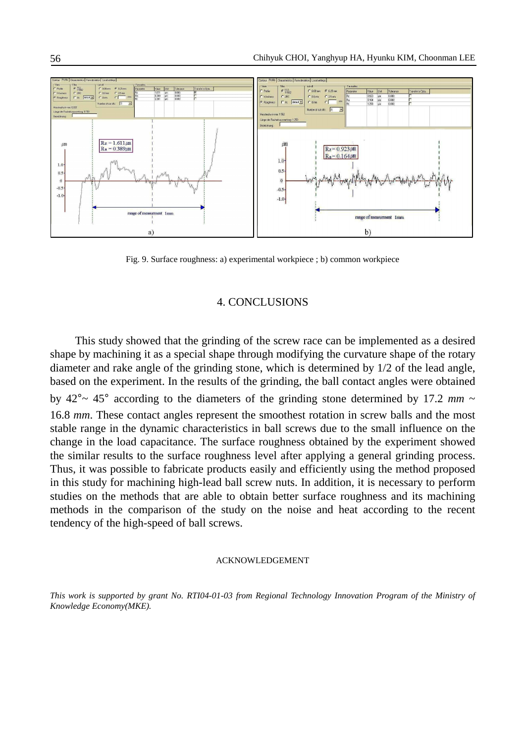

Fig. 9. Surface roughness: a) experimental workpiece ; b) common workpiece

## 4. CONCLUSIONS

 This study showed that the grinding of the screw race can be implemented as a desired shape by machining it as a special shape through modifying the curvature shape of the rotary diameter and rake angle of the grinding stone, which is determined by 1/2 of the lead angle, based on the experiment. In the results of the grinding, the ball contact angles were obtained by  $42^{\circ}$   $\sim$  45° according to the diameters of the grinding stone determined by 17.2 *mm*  $\sim$ 16.8 *mm*. These contact angles represent the smoothest rotation in screw balls and the most stable range in the dynamic characteristics in ball screws due to the small influence on the change in the load capacitance. The surface roughness obtained by the experiment showed the similar results to the surface roughness level after applying a general grinding process. Thus, it was possible to fabricate products easily and efficiently using the method proposed in this study for machining high-lead ball screw nuts. In addition, it is necessary to perform studies on the methods that are able to obtain better surface roughness and its machining methods in the comparison of the study on the noise and heat according to the recent tendency of the high-speed of ball screws.

#### ACKNOWLEDGEMENT

*This work is supported by grant No. RTI04-01-03 from Regional Technology Innovation Program of the Ministry of Knowledge Economy(MKE).*